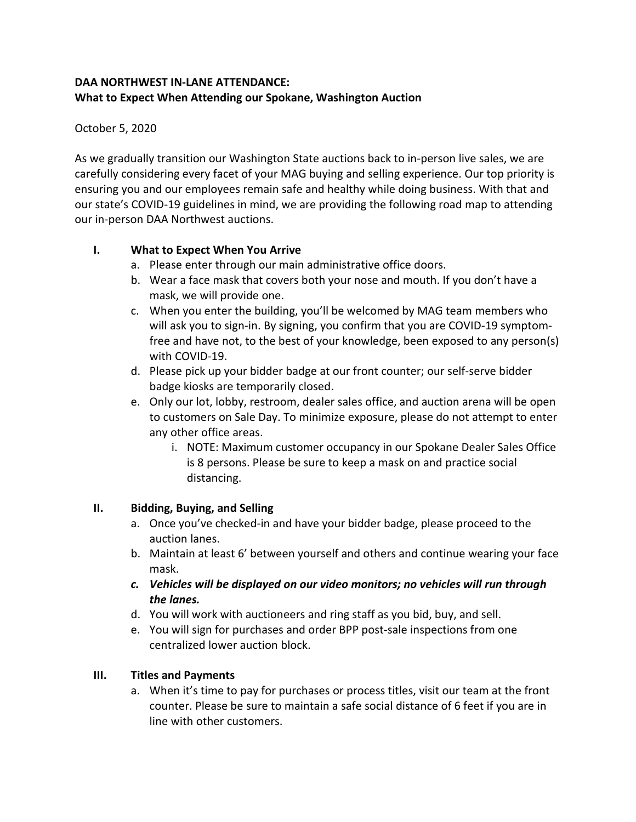## **DAA NORTHWEST IN-LANE ATTENDANCE: What to Expect When Attending our Spokane, Washington Auction**

### October 5, 2020

As we gradually transition our Washington State auctions back to in-person live sales, we are carefully considering every facet of your MAG buying and selling experience. Our top priority is ensuring you and our employees remain safe and healthy while doing business. With that and our state's COVID-19 guidelines in mind, we are providing the following road map to attending our in-person DAA Northwest auctions.

### **I. What to Expect When You Arrive**

- a. Please enter through our main administrative office doors.
- b. Wear a face mask that covers both your nose and mouth. If you don't have a mask, we will provide one.
- c. When you enter the building, you'll be welcomed by MAG team members who will ask you to sign-in. By signing, you confirm that you are COVID-19 symptomfree and have not, to the best of your knowledge, been exposed to any person(s) with COVID-19.
- d. Please pick up your bidder badge at our front counter; our self-serve bidder badge kiosks are temporarily closed.
- e. Only our lot, lobby, restroom, dealer sales office, and auction arena will be open to customers on Sale Day. To minimize exposure, please do not attempt to enter any other office areas.
	- i. NOTE: Maximum customer occupancy in our Spokane Dealer Sales Office is 8 persons. Please be sure to keep a mask on and practice social distancing.

### **II. Bidding, Buying, and Selling**

- a. Once you've checked-in and have your bidder badge, please proceed to the auction lanes.
- b. Maintain at least 6' between yourself and others and continue wearing your face mask.
- *c. Vehicles will be displayed on our video monitors; no vehicles will run through the lanes.*
- d. You will work with auctioneers and ring staff as you bid, buy, and sell.
- e. You will sign for purchases and order BPP post-sale inspections from one centralized lower auction block.

# **III. Titles and Payments**

a. When it's time to pay for purchases or process titles, visit our team at the front counter. Please be sure to maintain a safe social distance of 6 feet if you are in line with other customers.